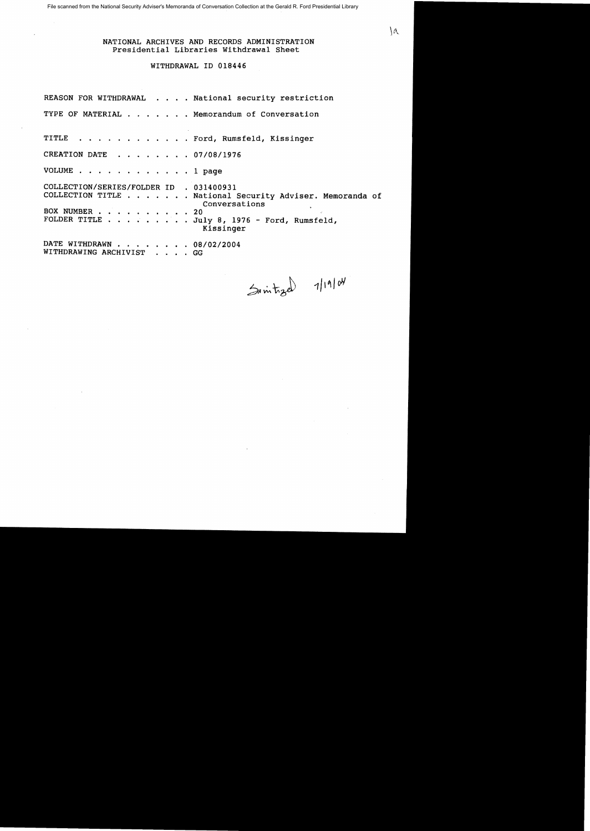NATIONAL ARCHIVES AND RECORDS ADMINISTRATION Presidential Libraries Withdrawal Sheet

## WITHDRAWAL ID 018446

REASON FOR WITHDRAWAL . . . . National security restriction TYPE OF MATERIAL . . . . . . Memorandum of Conversation TITLE . . . Ford, Rumsfe1d, Kissinger CREATION DATE . . . . . . . · 07/08/1976 VOLUME . . . . . . . . . . . . 1 page COLLECTION/SERIES/FOLDER ID . 031400931 COLLECTION TITLE . . . . . . National Security Adviser. Memoranda of Conversations<br>20 ... BOX NUMBER . . .<br>FOLDER TITLE . .  $\ldots$  July 8, 1976 - Ford, Rumsfeld, Kissinger DATE WITHDRAWN . . . . . . . 08/02/2004<br>WITHDRAWING ARCHIVIST . . . . GG WITHDRAWING ARCHIVIST

 $\sin\theta$   $1|19|04$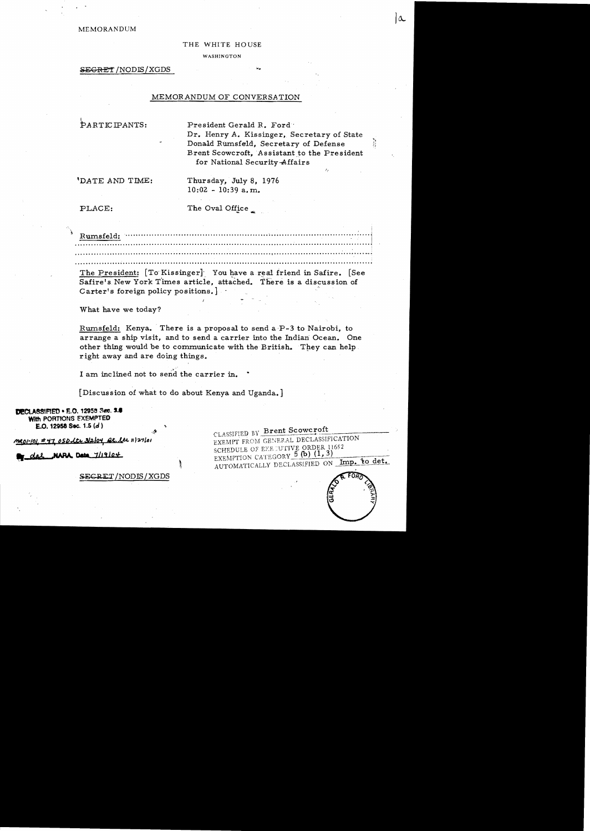#### MEMORANDUM

### THE WHITE HOUSE

WASHINGTON

### SEGRET/NODIS/XGDS

### MEMORANDUM OF CONVERSATION

PARTIC IPANTS: President Gerald R. Ford Dr. Henry A. Kissinger, Secretary of State Donald Rumsfeld, Secretary of Defense Brent Scowcroft, Assistant to the President for National Security-Affairs

............ " .......................................................................................................................- .......................... " .................................................. ~ ........ ..

~DATE AND TIME: Thursday, July 8, 1976  $10:02 - 10:39$  a.m.

PLACE: The Oval Office

, Rumsfeld: ".......................................................................................... .. .................................. , ........................................................... , ................................ . .......................... 4 ............................· ....................... '! ................................." ....... <sup>~</sup>

The President: [To'Kissinger)" You have a real friend in Safire. [See Safire's New York Times article, attached. There is a discussion of Carter's foreign policy positions.]

What have we today?

Rumsfeld: Kenya. There is a proposal to send a P-3 to Nairobi, to arrange a ship visit, and to send a carrier into the Indian Ocean. One other thing would be to communicate with the British. They can help. right away and are doing things.

I am inclined not to send the carrier in.

[Discussion of what to do about Kenya and Uganda.]

DECLASSIFIED • F.O. 12958 Sec. 3.6 WIth PORTIONS EXEMPTED E.O. 12958 See. 1.5 (d)

 $SEERT/NODIS/XGDS$ 

ed-101 #47 050 Ltd 312 lot at 12 at 14 at 14 at 14 at 14 at 14 at 14 at 14 at 14 at 14 at 14 at 14 at 14 at 14 a<br>PXEMPT FROM GENERAL DECLASSI EXEMPT FROM GENERAL DECLASSIFICATION SCHEDULE OF EXECUTIVE ORDER 11652<br>EXEMPTION CATEGORY 5 (b) (1, 3) dat NAPA Dete 7/1910+<br>EXEMPTION CATEGORY 5 (b) (1,3)<br>AUTOMATICALLY DECLASSIFIED ON Imp. to det.

> (~  $\mathbb{R}$ 그| ~

Ì,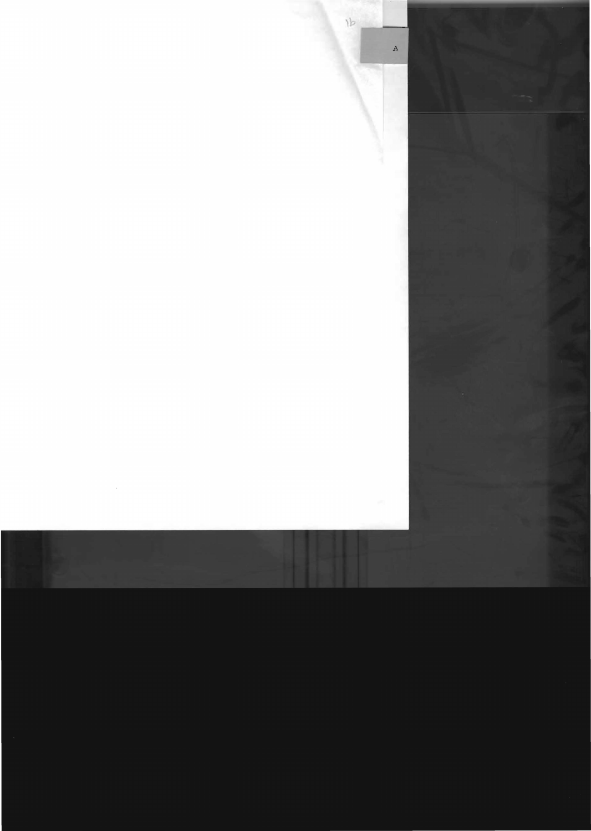